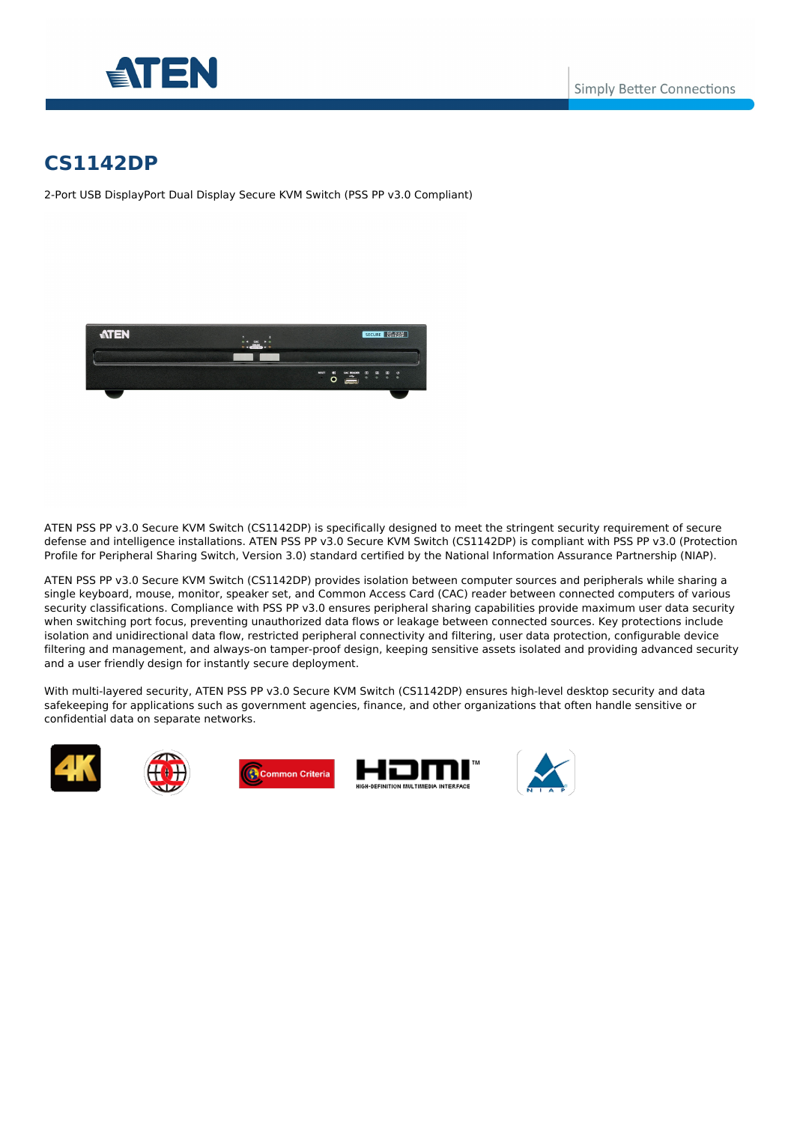



# **CS1142DP**

2-Port USB DisplayPort Dual Display Secure KVM Switch (PSS PP v3.0 Compliant)



ATEN PSS PP v3.0 Secure KVM Switch (CS1142DP) is specifically designed to meet the stringent security requirement of secure defense and intelligence installations. ATEN PSS PP v3.0 Secure KVM Switch (CS1142DP) is compliant with PSS PP v3.0 (Protection Profile for Peripheral Sharing Switch, Version 3.0) standard certified by the National Information Assurance Partnership (NIAP).

ATEN PSS PP v3.0 Secure KVM Switch (CS1142DP) provides isolation between computer sources and peripherals while sharing a single keyboard, mouse, monitor, speaker set, and Common Access Card (CAC) reader between connected computers of various security classifications. Compliance with PSS PP v3.0 ensures peripheral sharing capabilities provide maximum user data security when switching port focus, preventing unauthorized data flows or leakage between connected sources. Key protections include isolation and unidirectional data flow, restricted peripheral connectivity and filtering, user data protection, configurable device filtering and management, and always-on tamper-proof design, keeping sensitive assets isolated and providing advanced security and a user friendly design for instantly secure deployment.

With multi-layered security, ATEN PSS PP v3.0 Secure KVM Switch (CS1142DP) ensures high-level desktop security and data safekeeping for applications such as government agencies, finance, and other organizations that often handle sensitive or confidential data on separate networks.







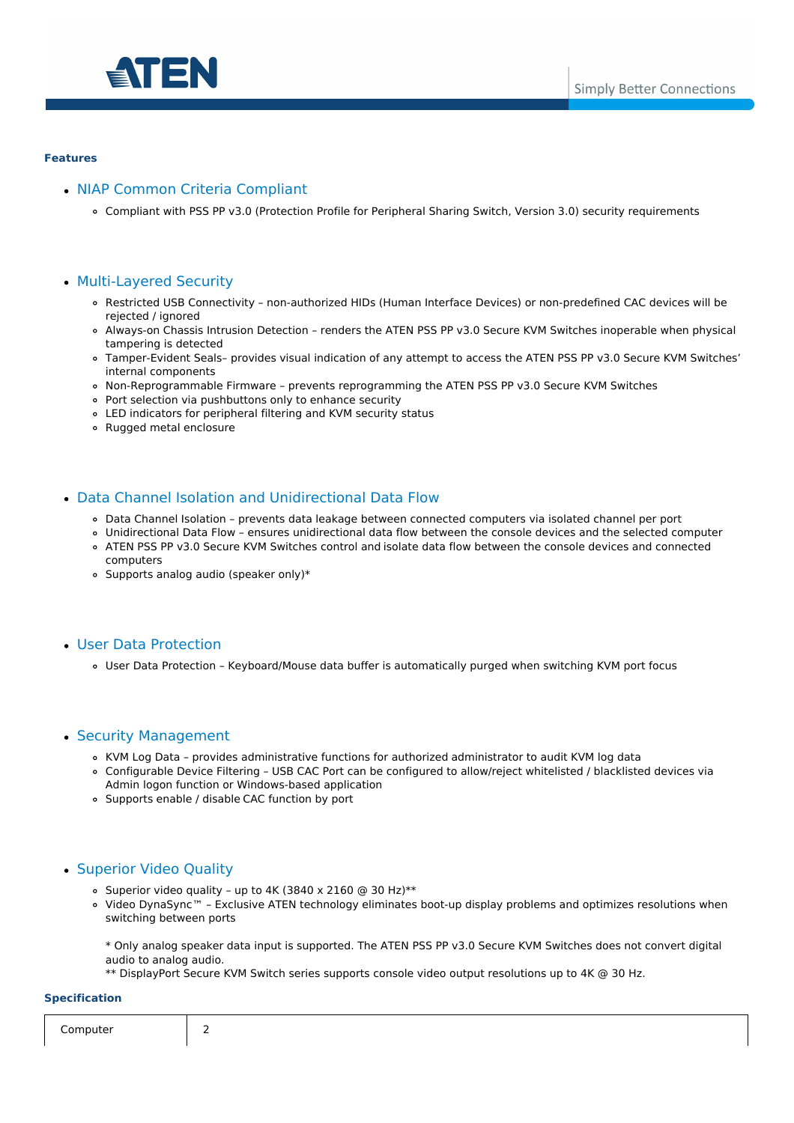

#### **Features**

## • NIAP Common Criteria Compliant

Compliant with PSS PP v3.0 (Protection Profile for Peripheral Sharing Switch, Version 3.0) security requirements

## Multi-Layered Security

- Restricted USB Connectivity non-authorized HIDs (Human Interface Devices) or non-predefined CAC devices will be rejected / ignored
- Always-on Chassis Intrusion Detection renders the ATEN PSS PP v3.0 Secure KVM Switches inoperable when physical tampering is detected
- Tamper-Evident Seals– provides visual indication of any attempt to access the ATEN PSS PP v3.0 Secure KVM Switches' internal components
- Non-Reprogrammable Firmware prevents reprogramming the ATEN PSS PP v3.0 Secure KVM Switches
- Port selection via pushbuttons only to enhance security
- LED indicators for peripheral filtering and KVM security status
- Rugged metal enclosure

### Data Channel Isolation and Unidirectional Data Flow

- Data Channel Isolation prevents data leakage between connected computers via isolated channel per port
- Unidirectional Data Flow ensures unidirectional data flow between the console devices and the selected computer ATEN PSS PP v3.0 Secure KVM Switches control and isolate data flow between the console devices and connected
- computers
- Supports analog audio (speaker only)\*

#### User Data Protection

User Data Protection – Keyboard/Mouse data buffer is automatically purged when switching KVM port focus

#### • Security Management

- KVM Log Data provides administrative functions for authorized administrator to audit KVM log data
- Configurable Device Filtering USB CAC Port can be configured to allow/reject whitelisted / blacklisted devices via Admin logon function or Windows-based application
- Supports enable / disable CAC function by port

## Superior Video Quality

- o Superior video quality up to 4K (3840 x 2160 @ 30 Hz)\*\*
- Video DynaSync™ Exclusive ATEN technology eliminates boot-up display problems and optimizes resolutions when switching between ports

\* Only analog speaker data input is supported. The ATEN PSS PP v3.0 Secure KVM Switches does not convert digital audio to analog audio.

\*\* DisplayPort Secure KVM Switch series supports console video output resolutions up to 4K @ 30 Hz.

#### **Specification**

| a sec-<br>∩r<br>$\sim$ $\sim$<br>___ |  |  |  |
|--------------------------------------|--|--|--|
|--------------------------------------|--|--|--|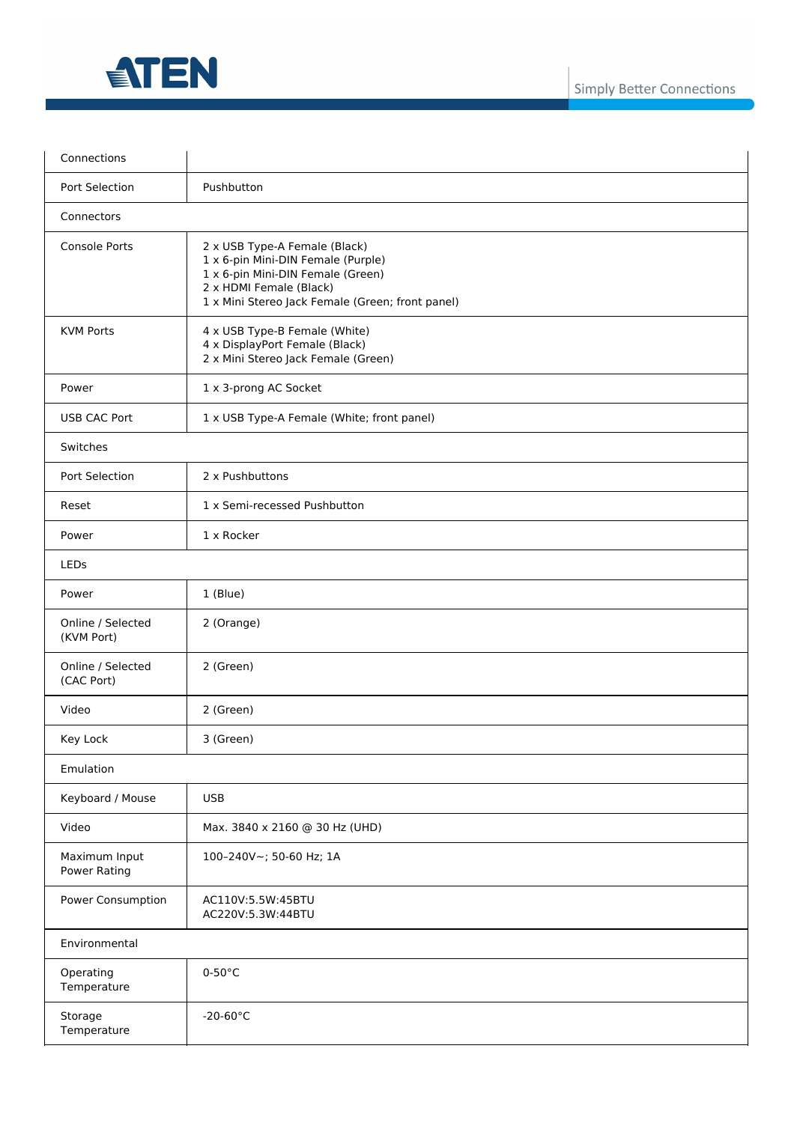

| Connections                          |                                                                                                                                                                                         |  |
|--------------------------------------|-----------------------------------------------------------------------------------------------------------------------------------------------------------------------------------------|--|
| Port Selection                       | Pushbutton                                                                                                                                                                              |  |
| Connectors                           |                                                                                                                                                                                         |  |
| <b>Console Ports</b>                 | 2 x USB Type-A Female (Black)<br>1 x 6-pin Mini-DIN Female (Purple)<br>1 x 6-pin Mini-DIN Female (Green)<br>2 x HDMI Female (Black)<br>1 x Mini Stereo Jack Female (Green; front panel) |  |
| <b>KVM Ports</b>                     | 4 x USB Type-B Female (White)<br>4 x DisplayPort Female (Black)<br>2 x Mini Stereo Jack Female (Green)                                                                                  |  |
| Power                                | 1 x 3-prong AC Socket                                                                                                                                                                   |  |
| <b>USB CAC Port</b>                  | 1 x USB Type-A Female (White; front panel)                                                                                                                                              |  |
| Switches                             |                                                                                                                                                                                         |  |
| Port Selection                       | 2 x Pushbuttons                                                                                                                                                                         |  |
| Reset                                | 1 x Semi-recessed Pushbutton                                                                                                                                                            |  |
| Power                                | 1 x Rocker                                                                                                                                                                              |  |
| LEDs                                 |                                                                                                                                                                                         |  |
| Power                                | 1 (Blue)                                                                                                                                                                                |  |
| Online / Selected<br>(KVM Port)      | 2 (Orange)                                                                                                                                                                              |  |
| Online / Selected<br>(CAC Port)      | 2 (Green)                                                                                                                                                                               |  |
| Video                                | 2 (Green)                                                                                                                                                                               |  |
| Key Lock                             | 3 (Green)                                                                                                                                                                               |  |
| Emulation                            |                                                                                                                                                                                         |  |
| Keyboard / Mouse                     | <b>USB</b>                                                                                                                                                                              |  |
| Video                                | Max. 3840 x 2160 @ 30 Hz (UHD)                                                                                                                                                          |  |
| Maximum Input<br><b>Power Rating</b> | 100-240V~; 50-60 Hz; 1A                                                                                                                                                                 |  |
| Power Consumption                    | AC110V:5.5W:45BTU<br>AC220V:5.3W:44BTU                                                                                                                                                  |  |
| Environmental                        |                                                                                                                                                                                         |  |
| Operating<br>Temperature             | $0-50$ °C                                                                                                                                                                               |  |
| Storage<br>Temperature               | $-20-60\degree C$                                                                                                                                                                       |  |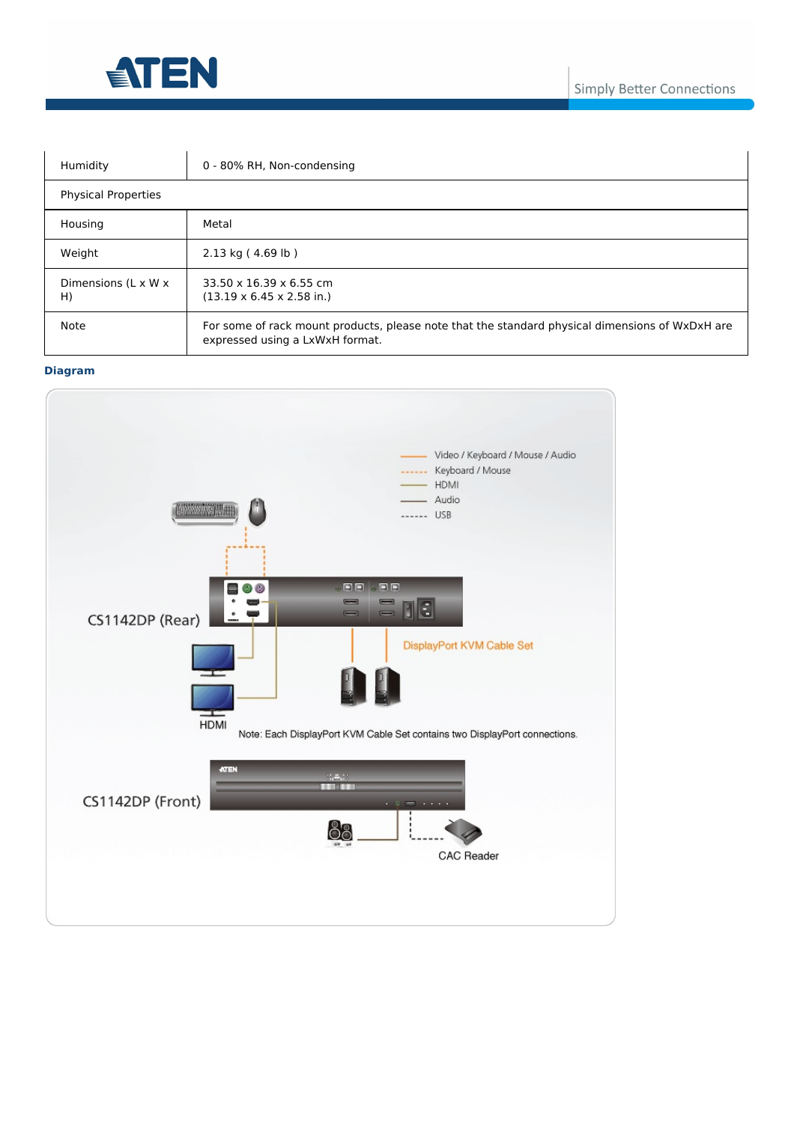

| Humidity                   | 0 - 80% RH, Non-condensing                                                                                                         |  |
|----------------------------|------------------------------------------------------------------------------------------------------------------------------------|--|
| <b>Physical Properties</b> |                                                                                                                                    |  |
| Housing                    | Metal                                                                                                                              |  |
| Weight                     | 2.13 kg (4.69 lb)                                                                                                                  |  |
| Dimensions (L x W x<br>H)  | 33.50 x 16.39 x 6.55 cm<br>$(13.19 \times 6.45 \times 2.58 \text{ in.})$                                                           |  |
| <b>Note</b>                | For some of rack mount products, please note that the standard physical dimensions of WxDxH are<br>expressed using a LxWxH format. |  |

## **Diagram**